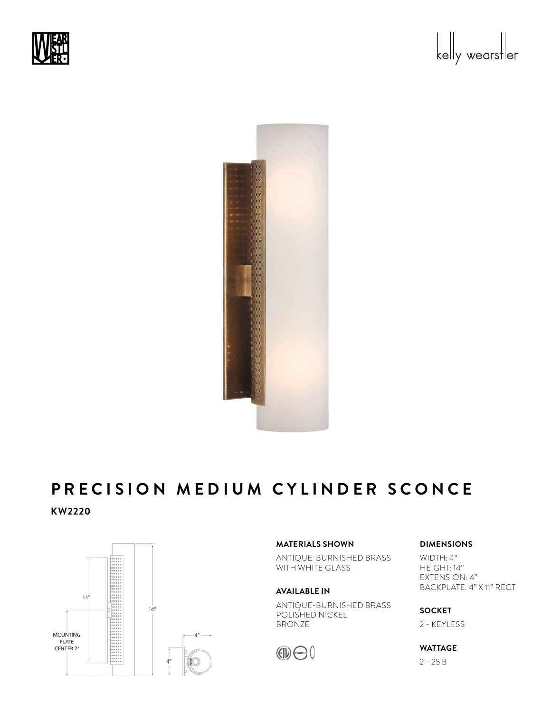





## PRECISION MEDIUM CYLINDER SCONCE **KW2220** PRFC:  $\ddot{\phantom{0}}$  - 25  $\ddot{\phantom{0}}$  - 25  $\ddot{\phantom{0}}$



### **MATERIALS SHOWN**

ANTIQUE-BURNISHED BRASS WITH WHITE GLASS

### **AVAILABLE IN**

ANTIQUE-BURNISHED BRASS POLISHED NICKEL BRONZE



## **DIMENSIONS**

WIDTH: 4" HEIGHT: 14" EXTENSION: 4" BACKPLATE: 4" X 11" RECT

**SOCKET**  2 - KEYLESS

# **WATTAGE**

2 - 25 B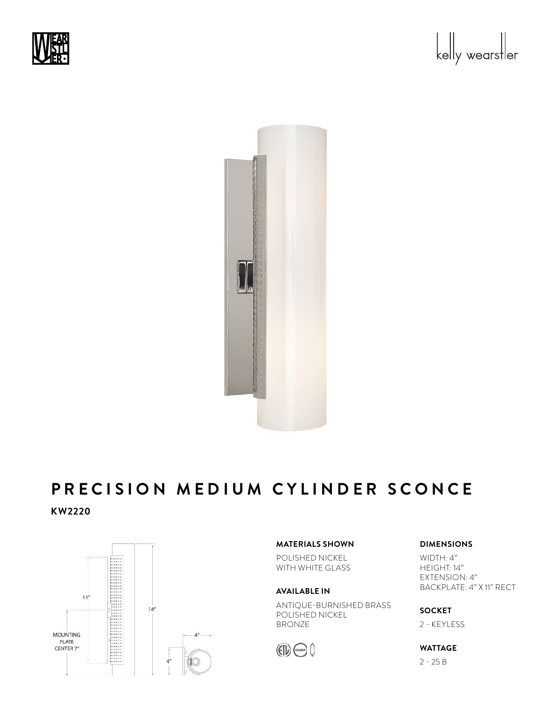





## PRECISION MEDIUM CYLINDER SCONCE **KW2220** PRFC:  $\ddot{\phantom{0}}$  - 25  $\ddot{\phantom{0}}$  - 25  $\ddot{\phantom{0}}$



### **MATERIALS SHOWN**

POLISHED NICKEL WITH WHITE GLASS

### **AVAILABLE IN**

ANTIQUE-BURNISHED BRASS POLISHED NICKEL BRONZE



# **DIMENSIONS**

WIDTH: 4" HEIGHT: 14" EXTENSION: 4" BACKPLATE: 4" X 11" RECT

**SOCKET**  2 - KEYLESS

# **WATTAGE**

2 - 25 B